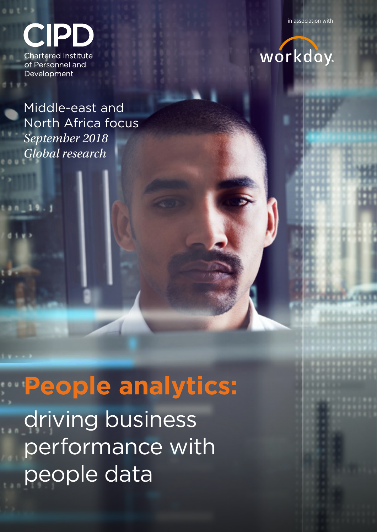in association with



**Chartered Institute** of Personnel and Development

Middle-east and North Africa focus *September 2018 Global research*

**People analytics:** driving business performance with people data

## workday.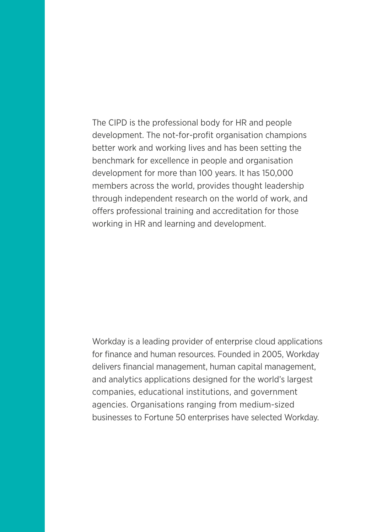The CIPD is the professional body for HR and people development. The not-for-profit organisation champions better work and working lives and has been setting the benchmark for excellence in people and organisation development for more than 100 years. It has 150,000 members across the world, provides thought leadership through independent research on the world of work, and offers professional training and accreditation for those working in HR and learning and development.

Workday is a leading provider of enterprise cloud applications for finance and human resources. Founded in 2005, Workday delivers financial management, human capital management, and analytics applications designed for the world's largest companies, educational institutions, and government agencies. Organisations ranging from medium-sized businesses to Fortune 50 enterprises have selected Workday.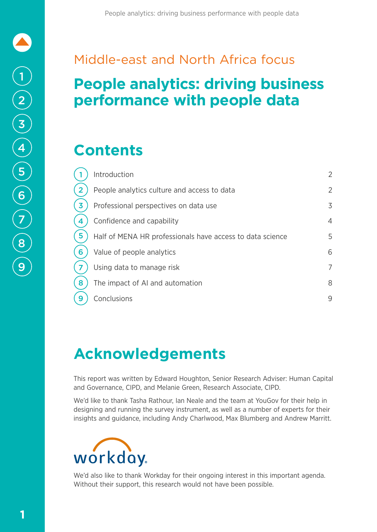### Middle-east and North Africa focus

### **People analytics: driving business performance with people data**

### **Contents**

|   | Introduction                                              | $\overline{2}$ |
|---|-----------------------------------------------------------|----------------|
| 2 | People analytics culture and access to data               | $\overline{2}$ |
| 3 | Professional perspectives on data use                     | 3              |
| 4 | Confidence and capability                                 | $\overline{4}$ |
| 5 | Half of MENA HR professionals have access to data science | 5              |
| 6 | Value of people analytics                                 | 6              |
|   | Using data to manage risk                                 | $\overline{7}$ |
| 8 | The impact of AI and automation                           | 8              |
| 9 | Conclusions                                               | 9              |

### **Acknowledgements**

This report was written by Edward Houghton, Senior Research Adviser: Human Capital and Governance, CIPD, and Melanie Green, Research Associate, CIPD.

We'd like to thank Tasha Rathour, Ian Neale and the team at YouGov for their help in designing and running the survey instrument, as well as a number of experts for their insights and guidance, including Andy Charlwood, Max Blumberg and Andrew Marritt.



We'd also like to thank Workday for their ongoing interest in this important agenda. Without their support, this research would not have been possible.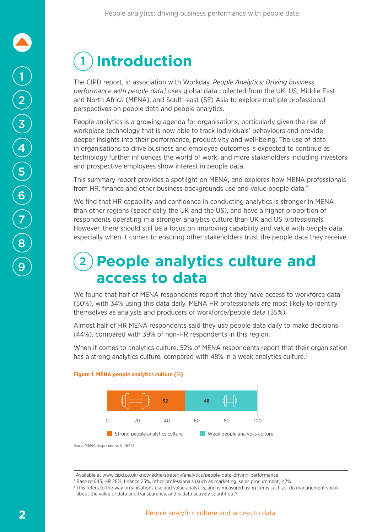# 1 **Introduction**

The CIPD report, in association with Workday, *People Analytics: Driving business*  performance with people data,<sup>1</sup> uses global data collected from the UK, US, Middle East and North Africa (MENA), and South-east (SE) Asia to explore multiple professional perspectives on people data and people analytics.

People analytics is a growing agenda for organisations, particularly given the rise of workplace technology that is now able to track individuals' behaviours and provide deeper insights into their performance, productivity and well-being. The use of data in organisations to drive business and employee outcomes is expected to continue as technology further influences the world of work, and more stakeholders including investors and prospective employees show interest in people data.

This summary report provides a spotlight on MENA, and explores how MENA professionals from HR, finance and other business backgrounds use and value people data.<sup>2</sup>

We find that HR capability and confidence in conducting analytics is stronger in MENA than other regions (specifically the UK and the US), and have a higher proportion of respondents operating in a stronger analytics culture than UK and US professionals. However, there should still be a focus on improving capability and value with people data, especially when it comes to ensuring other stakeholders trust the people data they receive.

### 2 **People analytics culture and access to data**

We found that half of MENA respondents report that they have access to workforce data (50%), with 34% using this data daily. MENA HR professionals are most likely to identify themselves as analysts and producers of workforce/people data (35%).

Almost half of HR MENA respondents said they use people data daily to make decisions (44%), compared with 39% of non-HR respondents in this region.

When it comes to analytics culture, 52% of MENA respondents report that their organisation has a strong analytics culture, compared with 48% in a weak analytics culture.<sup>3</sup>



### **Figure 1: MENA people analytics culture (%)**

Base: MENA respondents (n=643)

<sup>1</sup> Available at www.cipd.co.uk/knowledge/strategy/analytics/people-data-driving-performance

<sup>2</sup> Base n=643, HR 28%, finance 25%, other professionals (such as marketing, sales procurement) 47%

<sup>&</sup>lt;sup>3</sup> This refers to the way organisations use and value analytics; and is measured using items such as: do management speak about the value of data and transparency, and is data actively sought out?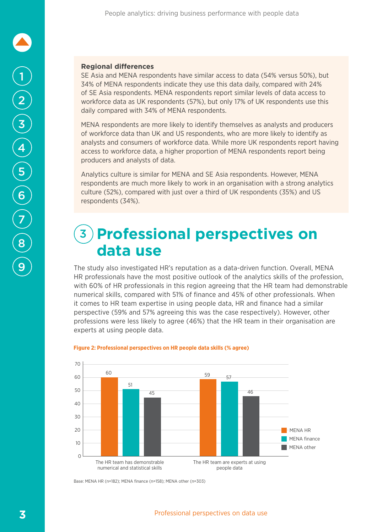#### **Regional differences**

SE Asia and MENA respondents have similar access to data (54% versus 50%), but 34% of MENA respondents indicate they use this data daily, compared with 24% of SE Asia respondents. MENA respondents report similar levels of data access to workforce data as UK respondents (57%), but only 17% of UK respondents use this daily compared with 34% of MENA respondents.

MENA respondents are more likely to identify themselves as analysts and producers of workforce data than UK and US respondents, who are more likely to identify as analysts and consumers of workforce data. While more UK respondents report having access to workforce data, a higher proportion of MENA respondents report being producers and analysts of data.

Analytics culture is similar for MENA and SE Asia respondents. However, MENA respondents are much more likely to work in an organisation with a strong analytics culture (52%), compared with just over a third of UK respondents (35%) and US respondents (34%).

### **(3) Professional perspectives on data use**

The study also investigated HR's reputation as a data-driven function. Overall, MENA HR professionals have the most positive outlook of the analytics skills of the profession, with 60% of HR professionals in this region agreeing that the HR team had demonstrable numerical skills, compared with 51% of finance and 45% of other professionals. When it comes to HR team expertise in using people data, HR and finance had a similar perspective (59% and 57% agreeing this was the case respectively). However, other professions were less likely to agree (46%) that the HR team in their organisation are experts at using people data.



#### **Figure 2: Professional perspectives on HR people data skills (% agree)**

Base: MENA HR (n=182); MENA finance (n=158); MENA other (n=303)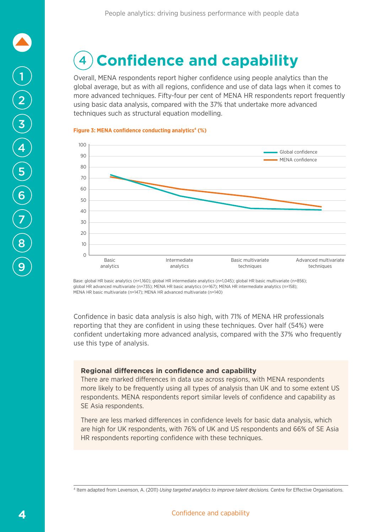# 1 2 3 4 7 5 8 6 9

#### 4 Confidence and capability numerical and statistical skills The HR team are experts at using l cal

Overall, MENA respondents report higher confidence using people analytics than the global average, but as with all regions, confidence and use of data lags when it comes to more advanced techniques. Fifty-four per cent of MENA HR respondents report frequently using basic data analysis, compared with the 37% that undertake more advanced techniques such as structural equation modelling.

#### **Figure 3: MENA confidence conducting analytics<sup>4</sup> (%)**



Base: global HR basic analytics (n=1,160); global HR intermediate analytics (n=1,045); global HR basic multivariate (n=856); global HR advanced multivariate (n=735); MENA HR basic analytics (n=167); MENA HR intermediate analytics (n=158); MENA HR basic multivariate (n=147); MENA HR advanced multivariate (n=140)

Confidence in basic data analysis is also high, with 71% of MENA HR professionals reporting that they are confident in using these techniques. Over half (54%) were confident undertaking more advanced analysis, compared with the 37% who frequently use this type of analysis.

### **Regional differences in confidence and capability**

There are marked differences in data use across regions, with MENA respondents more likely to be frequently using all types of analysis than UK and to some extent US respondents. MENA respondents report similar levels of confidence and capability as SE Asia respondents.

There are less marked differences in confidence levels for basic data analysis, which are high for UK respondents, with 76% of UK and US respondents and 66% of SE Asia HR respondents reporting confidence with these techniques.

<sup>4</sup> Item adapted from Levenson, A. (2011) *Using targeted analytics to improve talent decisions.* Centre for Effective Organisations.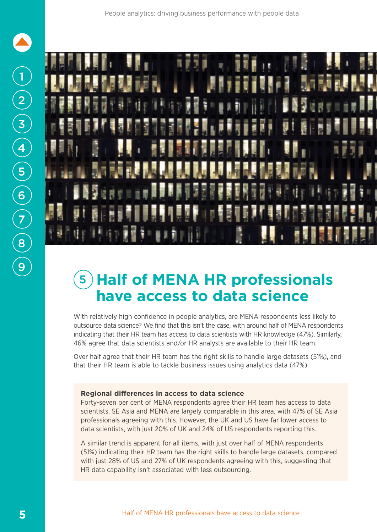

### 5 **Half of MENA HR professionals have access to data science**

With relatively high confidence in people analytics, are MENA respondents less likely to outsource data science? We find that this isn't the case, with around half of MENA respondents indicating that their HR team has access to data scientists with HR knowledge (47%). Similarly, 46% agree that data scientists and/or HR analysts are available to their HR team.

Over half agree that their HR team has the right skills to handle large datasets (51%), and that their HR team is able to tackle business issues using analytics data (47%).

#### **Regional differences in access to data science**

Forty-seven per cent of MENA respondents agree their HR team has access to data scientists. SE Asia and MENA are largely comparable in this area, with 47% of SE Asia professionals agreeing with this. However, the UK and US have far lower access to data scientists, with just 20% of UK and 24% of US respondents reporting this.

A similar trend is apparent for all items, with just over half of MENA respondents (51%) indicating their HR team has the right skills to handle large datasets, compared with just 28% of US and 27% of UK respondents agreeing with this, suggesting that HR data capability isn't associated with less outsourcing.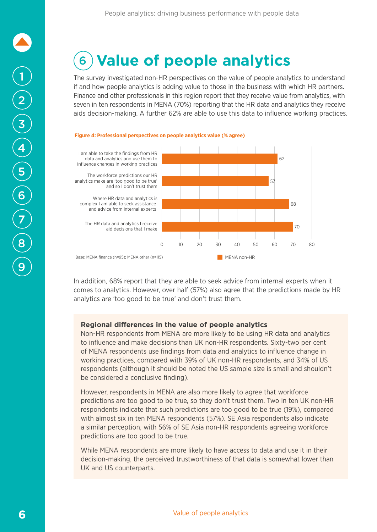# 1 2 3 <sup>4</sup> 7 5 8 6 9

## 6 **Value of people analytics**

The survey investigated non-HR perspectives on the value of people analytics to understand if and how people analytics is adding value to those in the business with which HR partners. Finance and other professionals in this region report that they receive value from analytics, with seven in ten respondents in MENA (70%) reporting that the HR data and analytics they receive aids decision-making. A further 62% are able to use this data to influence working practices.





In addition, 68% report that they are able to seek advice from internal experts when it comes to analytics. However, over half (57%) also agree that the predictions made by HR analytics are 'too good to be true' and don't trust them.

### **Regional differences in the value of people analytics**

to influence and make decisions than UK non-HR respondents. Sixty-two per cent of MENA respondents use findings from data and analytics to influence change in be considered a conclusive finding). Non-HR respondents from MENA are more likely to be using HR data and analytics working practices, compared with 39% of UK non-HR respondents, and 34% of US respondents (although it should be noted the US sample size is small and shouldn't

predictions are too good to be true, so they don't trust them. Two in ten UK non-HR with almost six in ten MENA respondents (57%). SE Asia respondents also indicate However, respondents in MENA are also more likely to agree that workforce respondents indicate that such predictions are too good to be true (19%), compared a similar perception, with 56% of SE Asia non-HR respondents agreeing workforce predictions are too good to be true.

decision-making, the perceived trustworthiness of that data is somewhat lower than While MENA respondents are more likely to have access to data and use it in their UK and US counterparts.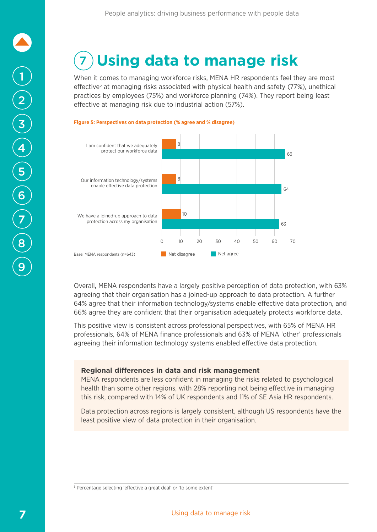### **7) Using data to manage risk**  $\overline{\phantom{a}}$

When it comes to managing workforce risks, MENA HR respondents feel they are most effective<sup>5</sup> at managing risks associated with physical health and safety (77%), unethical practices by employees (75%) and workforce planning (74%). They report being least effective at managing risk due to industrial action (57%).



66% agree they are confident that their organisation adequately protects workforce data. agreeing that their organisation has a joined-up approach to data protection. A further Overall, MENA respondents have a largely positive perception of data protection, with 63% 64% agree that their information technology/systems enable effective data protection, and

This positive view is consistent across professional perspectives, with 65% of MENA HR agreeing their information technology systems enabled effective data protection. professionals, 64% of MENA finance professionals and 63% of MENA 'other' professionals

### **Regional differences in data and risk management**

MENA respondents are less confident in managing the risks related to psychological health than some other regions, with 28% reporting not being effective in managing of artificial intelligence and/or this risk, compared with 14% of UK respondents and 11% of SE Asia HR respondents.

Data protection across regions is largely consistent, although US respondents have the least positive view of data protection in their organisation.

<sup>5</sup> Percentage selecting 'effective a great deal' or 'to some extent'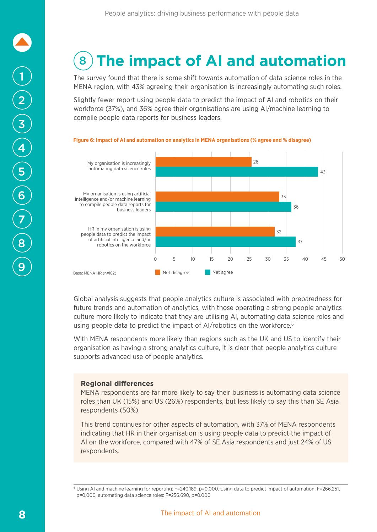### **(8) The impact of AI and automation**  $\rho$  and  $\rho$

The survey found that there is some shift towards automation of data science roles in the MENA region, with 43% agreeing their organisation is increasingly automating such roles.

Slightly fewer report using people data to predict the impact of AI and robotics on their workforce (37%), and 36% agree their organisations are using AI/machine learning to compile people data reports for business leaders.



#### **Figure 6: Impact of AI and automation on analytics in MENA organisations (% agree and % disagree)**

Global analysis suggests that people analytics culture is associated with preparedness for future trends and automation of analytics, with those operating a strong people analytics culture more likely to indicate that they are utilising AI, automating data science roles and using people data to predict the impact of AI/robotics on the workforce.<sup>6</sup>

With MENA respondents more likely than regions such as the UK and US to identify their organisation as having a strong analytics culture, it is clear that people analytics culture supports advanced use of people analytics.

### **Regional differences**

MENA respondents are far more likely to say their business is automating data science roles than UK (15%) and US (26%) respondents, but less likely to say this than SE Asia respondents (50%).

This trend continues for other aspects of automation, with 37% of MENA respondents indicating that HR in their organisation is using people data to predict the impact of AI on the workforce, compared with 47% of SE Asia respondents and just 24% of US respondents.

<sup>6</sup> Using AI and machine learning for reporting: F=240.189, p=0.000. Using data to predict impact of automation: F=266.251, p=0.000, automating data science roles: F=256.690, p=0.000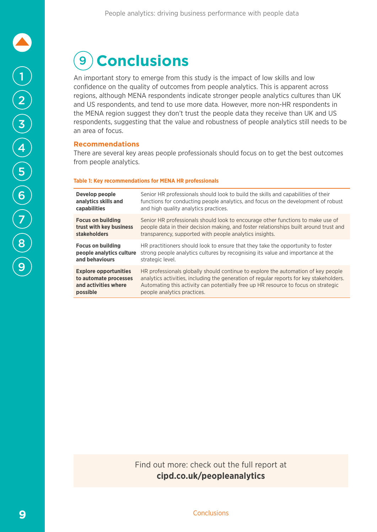# 9 **Conclusions**

An important story to emerge from this study is the impact of low skills and low confidence on the quality of outcomes from people analytics. This is apparent across regions, although MENA respondents indicate stronger people analytics cultures than UK and US respondents, and tend to use more data. However, more non-HR respondents in the MENA region suggest they don't trust the people data they receive than UK and US respondents, suggesting that the value and robustness of people analytics still needs to be an area of focus.

### **Recommendations**

There are several key areas people professionals should focus on to get the best outcomes from people analytics.

#### **Table 1: Key recommendations for MENA HR professionals**

| Develop people               | Senior HR professionals should look to build the skills and capabilities of their       |
|------------------------------|-----------------------------------------------------------------------------------------|
| analytics skills and         | functions for conducting people analytics, and focus on the development of robust       |
| <b>capabilities</b>          | and high quality analytics practices.                                                   |
| <b>Focus on building</b>     | Senior HR professionals should look to encourage other functions to make use of         |
| trust with key business      | people data in their decision making, and foster relationships built around trust and   |
| stakeholders                 | transparency, supported with people analytics insights.                                 |
| <b>Focus on building</b>     | HR practitioners should look to ensure that they take the opportunity to foster         |
| people analytics culture     | strong people analytics cultures by recognising its value and importance at the         |
| and behaviours               | strategic level.                                                                        |
| <b>Explore opportunities</b> | HR professionals globally should continue to explore the automation of key people       |
| to automate processes        | analytics activities, including the generation of regular reports for key stakeholders. |
| and activities where         | Automating this activity can potentially free up HR resource to focus on strategic      |
| possible                     | people analytics practices.                                                             |

Find out more: check out the full report at **[cipd.co.uk/peopleanalytics](http://www.cipd.co.uk/peopleanalytics)**